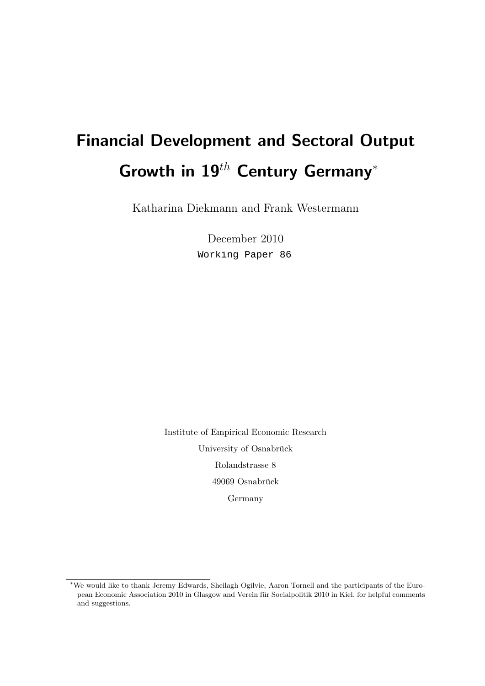# Financial Development and Sectoral Output Growth in  $19^{th}$  Century Germany<sup>\*</sup>

Katharina Diekmann and Frank Westermann

December 2010 Working Paper 86

Institute of Empirical Economic Research University of Osnabrück Rolandstrasse 8 49069 Osnabrück Germany

<sup>∗</sup>We would like to thank Jeremy Edwards, Sheilagh Ogilvie, Aaron Tornell and the participants of the European Economic Association 2010 in Glasgow and Verein fur Socialpolitik 2010 in Kiel, for helpful comments ¨ and suggestions.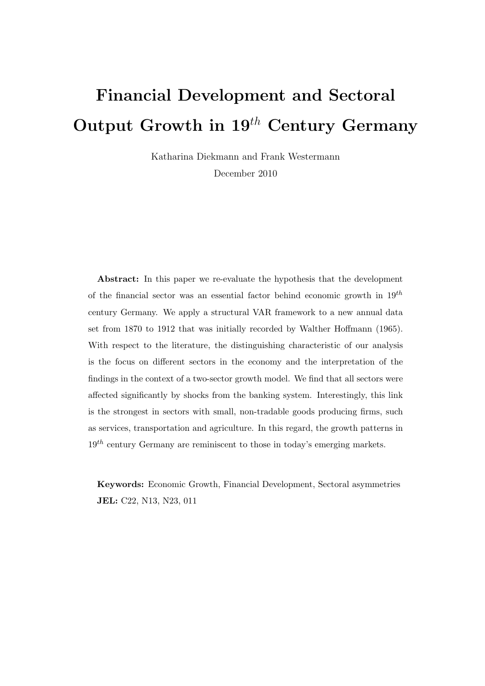# Financial Development and Sectoral Output Growth in  $19^{th}$  Century Germany

Katharina Diekmann and Frank Westermann

December 2010

Abstract: In this paper we re-evaluate the hypothesis that the development of the financial sector was an essential factor behind economic growth in  $19^{th}$ century Germany. We apply a structural VAR framework to a new annual data set from 1870 to 1912 that was initially recorded by Walther Hoffmann (1965). With respect to the literature, the distinguishing characteristic of our analysis is the focus on different sectors in the economy and the interpretation of the findings in the context of a two-sector growth model. We find that all sectors were affected significantly by shocks from the banking system. Interestingly, this link is the strongest in sectors with small, non-tradable goods producing firms, such as services, transportation and agriculture. In this regard, the growth patterns in  $19<sup>th</sup>$  century Germany are reminiscent to those in today's emerging markets.

Keywords: Economic Growth, Financial Development, Sectoral asymmetries JEL: C22, N13, N23, 011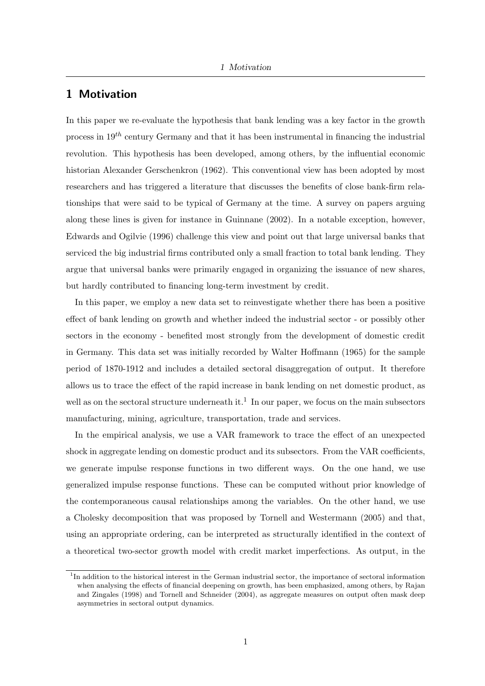# 1 Motivation

In this paper we re-evaluate the hypothesis that bank lending was a key factor in the growth process in  $19^{th}$  century Germany and that it has been instrumental in financing the industrial revolution. This hypothesis has been developed, among others, by the influential economic historian Alexander Gerschenkron (1962). This conventional view has been adopted by most researchers and has triggered a literature that discusses the benefits of close bank-firm relationships that were said to be typical of Germany at the time. A survey on papers arguing along these lines is given for instance in Guinnane (2002). In a notable exception, however, Edwards and Ogilvie (1996) challenge this view and point out that large universal banks that serviced the big industrial firms contributed only a small fraction to total bank lending. They argue that universal banks were primarily engaged in organizing the issuance of new shares, but hardly contributed to financing long-term investment by credit.

In this paper, we employ a new data set to reinvestigate whether there has been a positive effect of bank lending on growth and whether indeed the industrial sector - or possibly other sectors in the economy - benefited most strongly from the development of domestic credit in Germany. This data set was initially recorded by Walter Hoffmann (1965) for the sample period of 1870-1912 and includes a detailed sectoral disaggregation of output. It therefore allows us to trace the effect of the rapid increase in bank lending on net domestic product, as well as on the sectoral structure underneath it.<sup>1</sup> In our paper, we focus on the main subsectors manufacturing, mining, agriculture, transportation, trade and services.

In the empirical analysis, we use a VAR framework to trace the effect of an unexpected shock in aggregate lending on domestic product and its subsectors. From the VAR coefficients, we generate impulse response functions in two different ways. On the one hand, we use generalized impulse response functions. These can be computed without prior knowledge of the contemporaneous causal relationships among the variables. On the other hand, we use a Cholesky decomposition that was proposed by Tornell and Westermann (2005) and that, using an appropriate ordering, can be interpreted as structurally identified in the context of a theoretical two-sector growth model with credit market imperfections. As output, in the

<sup>&</sup>lt;sup>1</sup>In addition to the historical interest in the German industrial sector, the importance of sectoral information when analysing the effects of financial deepening on growth, has been emphasized, among others, by Rajan and Zingales (1998) and Tornell and Schneider (2004), as aggregate measures on output often mask deep asymmetries in sectoral output dynamics.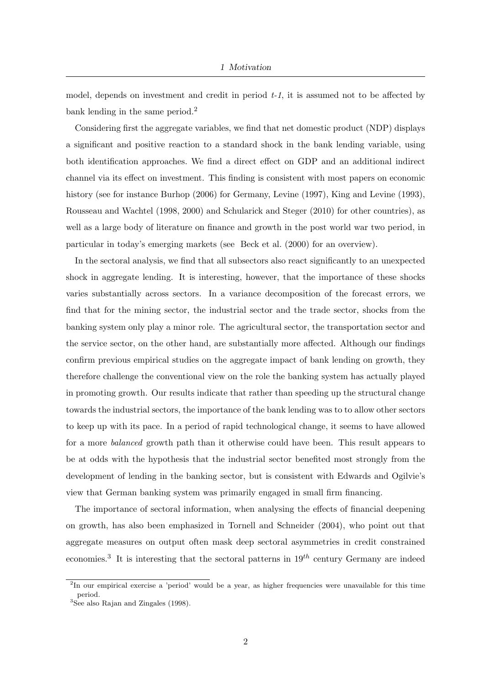model, depends on investment and credit in period  $t-1$ , it is assumed not to be affected by bank lending in the same period.<sup>2</sup>

Considering first the aggregate variables, we find that net domestic product (NDP) displays a significant and positive reaction to a standard shock in the bank lending variable, using both identification approaches. We find a direct effect on GDP and an additional indirect channel via its effect on investment. This finding is consistent with most papers on economic history (see for instance Burhop (2006) for Germany, Levine (1997), King and Levine (1993), Rousseau and Wachtel (1998, 2000) and Schularick and Steger (2010) for other countries), as well as a large body of literature on finance and growth in the post world war two period, in particular in today's emerging markets (see Beck et al. (2000) for an overview).

In the sectoral analysis, we find that all subsectors also react significantly to an unexpected shock in aggregate lending. It is interesting, however, that the importance of these shocks varies substantially across sectors. In a variance decomposition of the forecast errors, we find that for the mining sector, the industrial sector and the trade sector, shocks from the banking system only play a minor role. The agricultural sector, the transportation sector and the service sector, on the other hand, are substantially more affected. Although our findings confirm previous empirical studies on the aggregate impact of bank lending on growth, they therefore challenge the conventional view on the role the banking system has actually played in promoting growth. Our results indicate that rather than speeding up the structural change towards the industrial sectors, the importance of the bank lending was to to allow other sectors to keep up with its pace. In a period of rapid technological change, it seems to have allowed for a more balanced growth path than it otherwise could have been. This result appears to be at odds with the hypothesis that the industrial sector benefited most strongly from the development of lending in the banking sector, but is consistent with Edwards and Ogilvie's view that German banking system was primarily engaged in small firm financing.

The importance of sectoral information, when analysing the effects of financial deepening on growth, has also been emphasized in Tornell and Schneider (2004), who point out that aggregate measures on output often mask deep sectoral asymmetries in credit constrained economies.<sup>3</sup> It is interesting that the sectoral patterns in  $19^{th}$  century Germany are indeed

<sup>&</sup>lt;sup>2</sup>In our empirical exercise a 'period' would be a year, as higher frequencies were unavailable for this time period.

<sup>&</sup>lt;sup>3</sup>See also Rajan and Zingales (1998).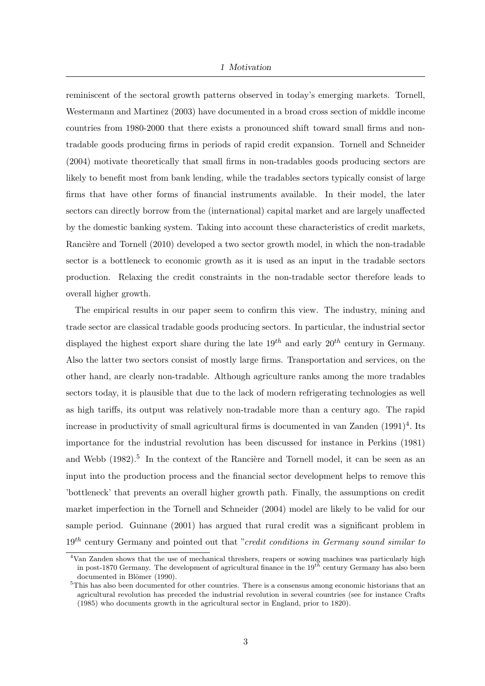### 1 Motivation

reminiscent of the sectoral growth patterns observed in today's emerging markets. Tornell, Westermann and Martinez (2003) have documented in a broad cross section of middle income countries from 1980-2000 that there exists a pronounced shift toward small firms and nontradable goods producing firms in periods of rapid credit expansion. Tornell and Schneider (2004) motivate theoretically that small firms in non-tradables goods producing sectors are likely to benefit most from bank lending, while the tradables sectors typically consist of large firms that have other forms of financial instruments available. In their model, the later sectors can directly borrow from the (international) capital market and are largely unaffected by the domestic banking system. Taking into account these characteristics of credit markets, Rancière and Tornell (2010) developed a two sector growth model, in which the non-tradable sector is a bottleneck to economic growth as it is used as an input in the tradable sectors production. Relaxing the credit constraints in the non-tradable sector therefore leads to overall higher growth.

The empirical results in our paper seem to confirm this view. The industry, mining and trade sector are classical tradable goods producing sectors. In particular, the industrial sector displayed the highest export share during the late  $19^{th}$  and early  $20^{th}$  century in Germany. Also the latter two sectors consist of mostly large firms. Transportation and services, on the other hand, are clearly non-tradable. Although agriculture ranks among the more tradables sectors today, it is plausible that due to the lack of modern refrigerating technologies as well as high tariffs, its output was relatively non-tradable more than a century ago. The rapid increase in productivity of small agricultural firms is documented in van Zanden  $(1991)^4$ . Its importance for the industrial revolution has been discussed for instance in Perkins (1981) and Webb (1982).<sup>5</sup> In the context of the Rancière and Tornell model, it can be seen as an input into the production process and the financial sector development helps to remove this 'bottleneck' that prevents an overall higher growth path. Finally, the assumptions on credit market imperfection in the Tornell and Schneider (2004) model are likely to be valid for our sample period. Guinnane (2001) has argued that rural credit was a significant problem in  $19<sup>th</sup>$  century Germany and pointed out that "credit conditions in Germany sound similar to

<sup>4</sup>Van Zanden shows that the use of mechanical threshers, reapers or sowing machines was particularly high in post-1870 Germany. The development of agricultural finance in the  $19^{th}$  century Germany has also been documented in Blömer (1990).

<sup>5</sup>This has also been documented for other countries. There is a consensus among economic historians that an agricultural revolution has preceded the industrial revolution in several countries (see for instance Crafts (1985) who documents growth in the agricultural sector in England, prior to 1820).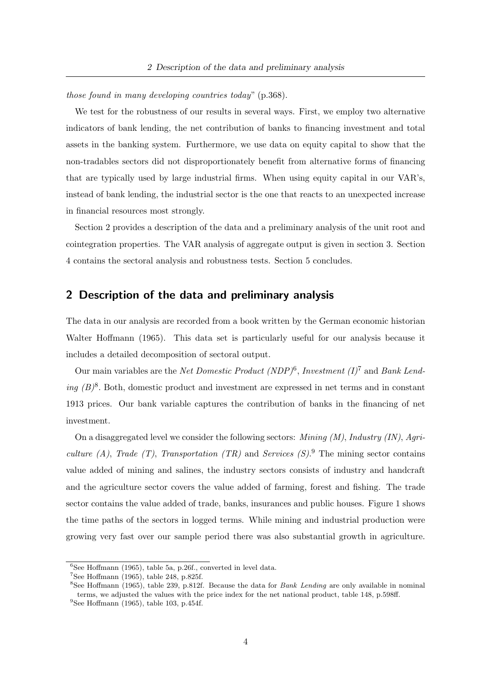those found in many developing countries today" (p.368).

We test for the robustness of our results in several ways. First, we employ two alternative indicators of bank lending, the net contribution of banks to financing investment and total assets in the banking system. Furthermore, we use data on equity capital to show that the non-tradables sectors did not disproportionately benefit from alternative forms of financing that are typically used by large industrial firms. When using equity capital in our VAR's, instead of bank lending, the industrial sector is the one that reacts to an unexpected increase in financial resources most strongly.

Section 2 provides a description of the data and a preliminary analysis of the unit root and cointegration properties. The VAR analysis of aggregate output is given in section 3. Section 4 contains the sectoral analysis and robustness tests. Section 5 concludes.

## 2 Description of the data and preliminary analysis

The data in our analysis are recorded from a book written by the German economic historian Walter Hoffmann (1965). This data set is particularly useful for our analysis because it includes a detailed decomposition of sectoral output.

Our main variables are the *Net Domestic Product* (*NDP*)<sup>6</sup>, Investment (I)<sup>7</sup> and *Bank Lend*ing  $(B)^8$ . Both, domestic product and investment are expressed in net terms and in constant 1913 prices. Our bank variable captures the contribution of banks in the financing of net investment.

On a disaggregated level we consider the following sectors: *Mining*  $(M)$ *, Industry*  $(IN)$ *, Agri*culture (A), Trade (T), Transportation (TR) and Services  $(S)$ .<sup>9</sup> The mining sector contains value added of mining and salines, the industry sectors consists of industry and handcraft and the agriculture sector covers the value added of farming, forest and fishing. The trade sector contains the value added of trade, banks, insurances and public houses. Figure 1 shows the time paths of the sectors in logged terms. While mining and industrial production were growing very fast over our sample period there was also substantial growth in agriculture.

 ${}^{6}$ See Hoffmann (1965), table 5a, p.26f., converted in level data.

<sup>7</sup>See Hoffmann (1965), table 248, p.825f.

<sup>&</sup>lt;sup>8</sup>See Hoffmann (1965), table 239, p.812f. Because the data for *Bank Lending* are only available in nominal terms, we adjusted the values with the price index for the net national product, table 148, p.598ff.  $9$ See Hoffmann (1965), table 103, p.454f.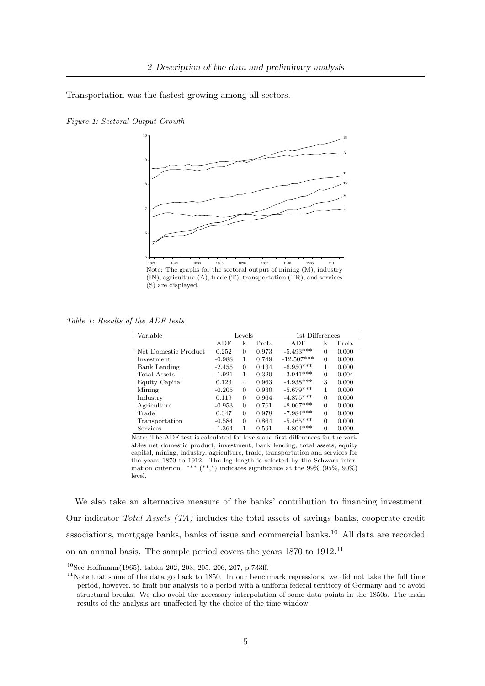Transportation was the fastest growing among all sectors.





Note: The graphs for the sectoral output of mining (M), industry (IN), agriculture (A), trade (T), transportation (TR), and services (S) are displayed.

Table 1: Results of the ADF tests

| Variable             |          | Levels   |       | 1st Differences |          |       |
|----------------------|----------|----------|-------|-----------------|----------|-------|
|                      | ADF      | k        | Prob. | ADF             | k        | Prob. |
| Net Domestic Product | 0.252    | 0        | 0.973 | $-5.493***$     | $\Omega$ | 0.000 |
| Investment           | $-0.988$ | 1        | 0.749 | $-12.507***$    | $\Omega$ | 0.000 |
| Bank Lending         | $-2.455$ | 0        | 0.134 | $-6.950***$     | 1        | 0.000 |
| Total Assets         | $-1.921$ | 1        | 0.320 | $-3.941***$     | $\Omega$ | 0.004 |
| Equity Capital       | 0.123    | 4        | 0.963 | $-4.938***$     | 3        | 0.000 |
| Mining               | $-0.205$ | $\Omega$ | 0.930 | $-5.679***$     | 1        | 0.000 |
| Industry             | 0.119    | $\Omega$ | 0.964 | $-4.875***$     | $\Omega$ | 0.000 |
| Agriculture          | $-0.953$ | $\Omega$ | 0.761 | $-8.067***$     | $\Omega$ | 0.000 |
| Trade                | 0.347    | $\Omega$ | 0.978 | $-7.984***$     | $\Omega$ | 0.000 |
| Transportation       | $-0.584$ | $\Omega$ | 0.864 | $-5.465***$     | $\Omega$ | 0.000 |
| Services             | $-1.364$ | 1        | 0.591 | $-4.804***$     | $\Omega$ | 0.000 |

Note: The ADF test is calculated for levels and first differences for the variables net domestic product, investment, bank lending, total assets, equity capital, mining, industry, agriculture, trade, transportation and services for the years 1870 to 1912. The lag length is selected by the Schwarz information criterion. \*\*\*  $(**,*)$  indicates significance at the 99% (95%, 90%) level.

We also take an alternative measure of the banks' contribution to financing investment. Our indicator Total Assets (TA) includes the total assets of savings banks, cooperate credit associations, mortgage banks, banks of issue and commercial banks.<sup>10</sup> All data are recorded on an annual basis. The sample period covers the years 1870 to 1912.<sup>11</sup>

 $10$ See Hoffmann(1965), tables 202, 203, 205, 206, 207, p.733ff.

<sup>&</sup>lt;sup>11</sup>Note that some of the data go back to 1850. In our benchmark regressions, we did not take the full time period, however, to limit our analysis to a period with a uniform federal territory of Germany and to avoid structural breaks. We also avoid the necessary interpolation of some data points in the 1850s. The main results of the analysis are unaffected by the choice of the time window.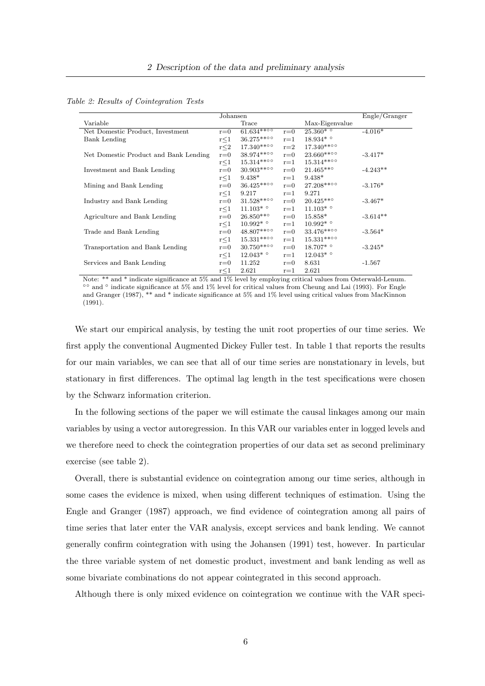|                                       | Johansen   |                           |         |                              | Engle/Grange |
|---------------------------------------|------------|---------------------------|---------|------------------------------|--------------|
| Variable                              |            | Trace                     |         | Max-Eigenvalue               |              |
| Net Domestic Product, Investment      | $r = 0$    | $61.634***$               | $r = 0$ | $25.\overline{360*^{\circ}}$ | $-4.016*$    |
| Bank Lending                          | $r \leq 1$ | 36.275**00                | $r = 1$ | $18.934*$                    |              |
|                                       | $r \leq 2$ | $17.340***$               | $r=2$   | $17.340***$ °°               |              |
| Net Domestic Product and Bank Lending | $r = 0$    | $38.974***00$             | $r = 0$ | $23.660***$ <sup>o</sup>     | $-3.417*$    |
|                                       | $r \leq 1$ | $15.314***00$             | $r = 1$ | 15.314**00                   |              |
| Investment and Bank Lending           | $r = 0$    | $30.903***$               | $r = 0$ | $21.465***$                  | $-4.243**$   |
|                                       | $r \leq 1$ | $9.438*$                  | $r = 1$ | $9.438*$                     |              |
| Mining and Bank Lending               | $r = 0$    | $36.425***$ <sup>oo</sup> | $r = 0$ | 27.208**00                   | $-3.176*$    |
|                                       | r<1        | 9.217                     | $r = 1$ | 9.271                        |              |
| Industry and Bank Lending             | $r = 0$    | $31.528***$               | $r = 0$ | $20.425***$                  | $-3.467*$    |
|                                       | r<1        | $11.103*$ °               | $r = 1$ | $11.103*$                    |              |
| Agriculture and Bank Lending          | $r = 0$    | $26.850***$               | $r = 0$ | 15.858*                      | $-3.614**$   |
|                                       | $r \leq 1$ | $10.992^*$ $^{\circ}$     | $r = 1$ | $10.992*$                    |              |
| Trade and Bank Lending                | $r = 0$    | $48.807***$ °             | $r = 0$ | 33.476**00                   | $-3.564*$    |
|                                       | r<1        | $15.331***$               | $r = 1$ | $15.331***$ <sup>oo</sup>    |              |
| Transportation and Bank Lending       | $r = 0$    | $30.750***$ <sup>o</sup>  | $r = 0$ | $18.707*$                    | $-3.245*$    |
|                                       | $r \leq 1$ | $12.043^{*\circ}$         | $r = 1$ | $12.043*$                    |              |
| Services and Bank Lending             | $r = 0$    | 11.252                    | $r = 0$ | 8.631                        | $-1.567$     |
|                                       | $r \leq 1$ | 2.621                     | $r = 1$ | 2.621                        |              |

Note: \*\* and \* indicate significance at 5% and 1% level by employing critical values from Osterwald-Lenum. ◦◦ and ◦ indicate significance at 5% and 1% level for critical values from Cheung and Lai (1993). For Engle and Granger (1987), \*\* and \* indicate significance at 5% and 1% level using critical values from MacKinnon (1991).

We start our empirical analysis, by testing the unit root properties of our time series. We first apply the conventional Augmented Dickey Fuller test. In table 1 that reports the results for our main variables, we can see that all of our time series are nonstationary in levels, but stationary in first differences. The optimal lag length in the test specifications were chosen by the Schwarz information criterion.

In the following sections of the paper we will estimate the causal linkages among our main variables by using a vector autoregression. In this VAR our variables enter in logged levels and we therefore need to check the cointegration properties of our data set as second preliminary exercise (see table 2).

Overall, there is substantial evidence on cointegration among our time series, although in some cases the evidence is mixed, when using different techniques of estimation. Using the Engle and Granger (1987) approach, we find evidence of cointegration among all pairs of time series that later enter the VAR analysis, except services and bank lending. We cannot generally confirm cointegration with using the Johansen (1991) test, however. In particular the three variable system of net domestic product, investment and bank lending as well as some bivariate combinations do not appear cointegrated in this second approach.

Although there is only mixed evidence on cointegration we continue with the VAR speci-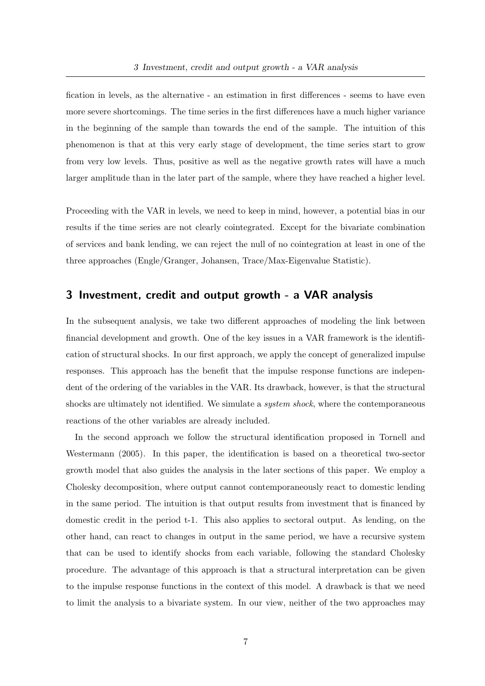fication in levels, as the alternative - an estimation in first differences - seems to have even more severe shortcomings. The time series in the first differences have a much higher variance in the beginning of the sample than towards the end of the sample. The intuition of this phenomenon is that at this very early stage of development, the time series start to grow from very low levels. Thus, positive as well as the negative growth rates will have a much larger amplitude than in the later part of the sample, where they have reached a higher level.

Proceeding with the VAR in levels, we need to keep in mind, however, a potential bias in our results if the time series are not clearly cointegrated. Except for the bivariate combination of services and bank lending, we can reject the null of no cointegration at least in one of the three approaches (Engle/Granger, Johansen, Trace/Max-Eigenvalue Statistic).

## 3 Investment, credit and output growth - a VAR analysis

In the subsequent analysis, we take two different approaches of modeling the link between financial development and growth. One of the key issues in a VAR framework is the identification of structural shocks. In our first approach, we apply the concept of generalized impulse responses. This approach has the benefit that the impulse response functions are independent of the ordering of the variables in the VAR. Its drawback, however, is that the structural shocks are ultimately not identified. We simulate a *system shock*, where the contemporaneous reactions of the other variables are already included.

In the second approach we follow the structural identification proposed in Tornell and Westermann (2005). In this paper, the identification is based on a theoretical two-sector growth model that also guides the analysis in the later sections of this paper. We employ a Cholesky decomposition, where output cannot contemporaneously react to domestic lending in the same period. The intuition is that output results from investment that is financed by domestic credit in the period t-1. This also applies to sectoral output. As lending, on the other hand, can react to changes in output in the same period, we have a recursive system that can be used to identify shocks from each variable, following the standard Cholesky procedure. The advantage of this approach is that a structural interpretation can be given to the impulse response functions in the context of this model. A drawback is that we need to limit the analysis to a bivariate system. In our view, neither of the two approaches may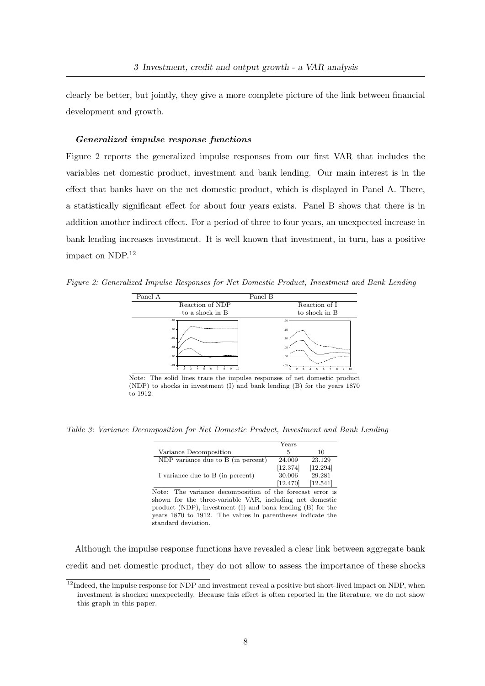clearly be better, but jointly, they give a more complete picture of the link between financial development and growth.

### Generalized impulse response functions

Figure 2 reports the generalized impulse responses from our first VAR that includes the variables net domestic product, investment and bank lending. Our main interest is in the effect that banks have on the net domestic product, which is displayed in Panel A. There, a statistically significant effect for about four years exists. Panel B shows that there is in addition another indirect effect. For a period of three to four years, an unexpected increase in bank lending increases investment. It is well known that investment, in turn, has a positive impact on NDP. $^{12}$ 

Figure 2: Generalized Impulse Responses for Net Domestic Product, Investment and Bank Lending



Note: The solid lines trace the impulse responses of net domestic product (NDP) to shocks in investment (I) and bank lending (B) for the years 1870 to 1912.

Table 3: Variance Decomposition for Net Domestic Product, Investment and Bank Lending

|                                    | Years    |          |
|------------------------------------|----------|----------|
| Variance Decomposition             | .5       | 10       |
| NDP variance due to B (in percent) | 24.009   | 23.129   |
|                                    | [12.374] | [12.294] |
| I variance due to B (in percent)   | 30.006   | 29.281   |
|                                    | [12.470] | [12.541] |

Note: The variance decomposition of the forecast error is shown for the three-variable VAR, including net domestic product (NDP), investment (I) and bank lending (B) for the years 1870 to 1912. The values in parentheses indicate the standard deviation.

Although the impulse response functions have revealed a clear link between aggregate bank credit and net domestic product, they do not allow to assess the importance of these shocks

 $12$ Indeed, the impulse response for NDP and investment reveal a positive but short-lived impact on NDP, when investment is shocked unexpectedly. Because this effect is often reported in the literature, we do not show this graph in this paper.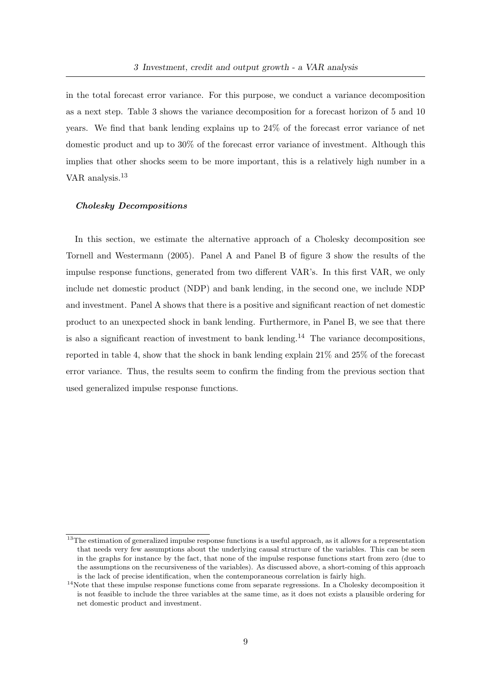in the total forecast error variance. For this purpose, we conduct a variance decomposition as a next step. Table 3 shows the variance decomposition for a forecast horizon of 5 and 10 years. We find that bank lending explains up to 24% of the forecast error variance of net domestic product and up to 30% of the forecast error variance of investment. Although this implies that other shocks seem to be more important, this is a relatively high number in a VAR analysis.<sup>13</sup>

## Cholesky Decompositions

In this section, we estimate the alternative approach of a Cholesky decomposition see Tornell and Westermann (2005). Panel A and Panel B of figure 3 show the results of the impulse response functions, generated from two different VAR's. In this first VAR, we only include net domestic product (NDP) and bank lending, in the second one, we include NDP and investment. Panel A shows that there is a positive and significant reaction of net domestic product to an unexpected shock in bank lending. Furthermore, in Panel B, we see that there is also a significant reaction of investment to bank lending.<sup>14</sup> The variance decompositions, reported in table 4, show that the shock in bank lending explain 21% and 25% of the forecast error variance. Thus, the results seem to confirm the finding from the previous section that used generalized impulse response functions.

 $13$ The estimation of generalized impulse response functions is a useful approach, as it allows for a representation that needs very few assumptions about the underlying causal structure of the variables. This can be seen in the graphs for instance by the fact, that none of the impulse response functions start from zero (due to the assumptions on the recursiveness of the variables). As discussed above, a short-coming of this approach is the lack of precise identification, when the contemporaneous correlation is fairly high.

 $14$ Note that these impulse response functions come from separate regressions. In a Cholesky decomposition it is not feasible to include the three variables at the same time, as it does not exists a plausible ordering for net domestic product and investment.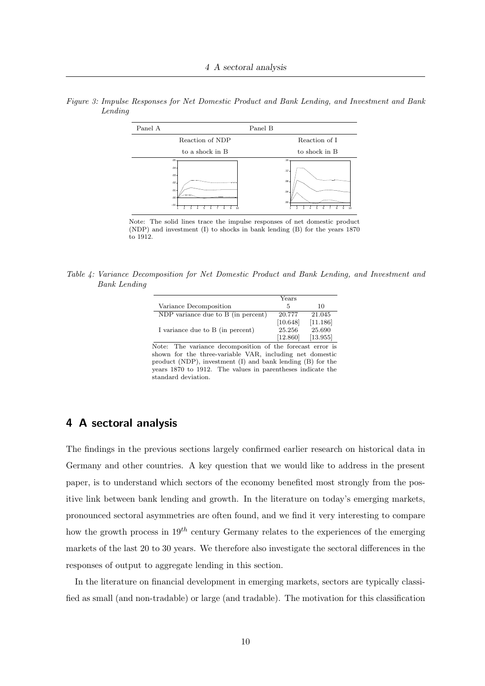

Figure 3: Impulse Responses for Net Domestic Product and Bank Lending, and Investment and Bank Lending

Note: The solid lines trace the impulse responses of net domestic product (NDP) and investment (I) to shocks in bank lending (B) for the years 1870 to 1912.

Table 4: Variance Decomposition for Net Domestic Product and Bank Lending, and Investment and Bank Lending

|                                    | Years    |          |
|------------------------------------|----------|----------|
| Variance Decomposition             | 5        | 10       |
| NDP variance due to B (in percent) | 20.777   | 21.045   |
|                                    | [10.648] | [11.186] |
| I variance due to B (in percent)   | 25.256   | 25.690   |
|                                    | [12.860] | [13.955] |

Note: The variance decomposition of the forecast error is shown for the three-variable VAR, including net domestic product (NDP), investment (I) and bank lending (B) for the years 1870 to 1912. The values in parentheses indicate the standard deviation.

## 4 A sectoral analysis

The findings in the previous sections largely confirmed earlier research on historical data in Germany and other countries. A key question that we would like to address in the present paper, is to understand which sectors of the economy benefited most strongly from the positive link between bank lending and growth. In the literature on today's emerging markets, pronounced sectoral asymmetries are often found, and we find it very interesting to compare how the growth process in  $19^{th}$  century Germany relates to the experiences of the emerging markets of the last 20 to 30 years. We therefore also investigate the sectoral differences in the responses of output to aggregate lending in this section.

In the literature on financial development in emerging markets, sectors are typically classified as small (and non-tradable) or large (and tradable). The motivation for this classification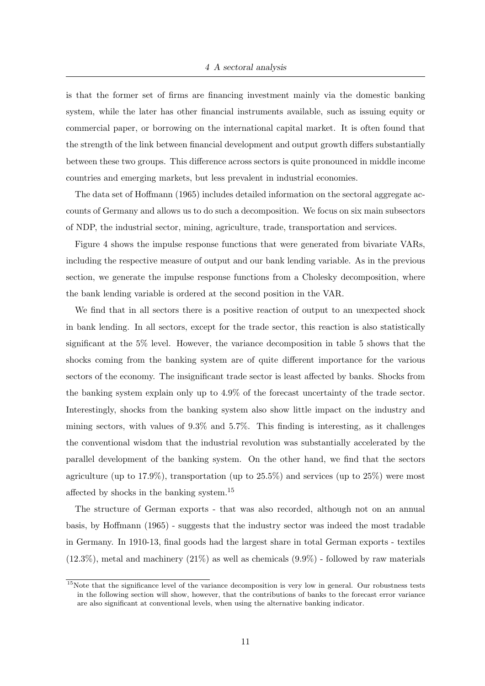is that the former set of firms are financing investment mainly via the domestic banking system, while the later has other financial instruments available, such as issuing equity or commercial paper, or borrowing on the international capital market. It is often found that the strength of the link between financial development and output growth differs substantially between these two groups. This difference across sectors is quite pronounced in middle income countries and emerging markets, but less prevalent in industrial economies.

The data set of Hoffmann (1965) includes detailed information on the sectoral aggregate accounts of Germany and allows us to do such a decomposition. We focus on six main subsectors of NDP, the industrial sector, mining, agriculture, trade, transportation and services.

Figure 4 shows the impulse response functions that were generated from bivariate VARs, including the respective measure of output and our bank lending variable. As in the previous section, we generate the impulse response functions from a Cholesky decomposition, where the bank lending variable is ordered at the second position in the VAR.

We find that in all sectors there is a positive reaction of output to an unexpected shock in bank lending. In all sectors, except for the trade sector, this reaction is also statistically significant at the 5% level. However, the variance decomposition in table 5 shows that the shocks coming from the banking system are of quite different importance for the various sectors of the economy. The insignificant trade sector is least affected by banks. Shocks from the banking system explain only up to 4.9% of the forecast uncertainty of the trade sector. Interestingly, shocks from the banking system also show little impact on the industry and mining sectors, with values of 9.3% and 5.7%. This finding is interesting, as it challenges the conventional wisdom that the industrial revolution was substantially accelerated by the parallel development of the banking system. On the other hand, we find that the sectors agriculture (up to 17.9%), transportation (up to 25.5%) and services (up to 25%) were most affected by shocks in the banking system.<sup>15</sup>

The structure of German exports - that was also recorded, although not on an annual basis, by Hoffmann (1965) - suggests that the industry sector was indeed the most tradable in Germany. In 1910-13, final goods had the largest share in total German exports - textiles  $(12.3\%)$ , metal and machinery  $(21\%)$  as well as chemicals  $(9.9\%)$  - followed by raw materials

<sup>&</sup>lt;sup>15</sup>Note that the significance level of the variance decomposition is very low in general. Our robustness tests in the following section will show, however, that the contributions of banks to the forecast error variance are also significant at conventional levels, when using the alternative banking indicator.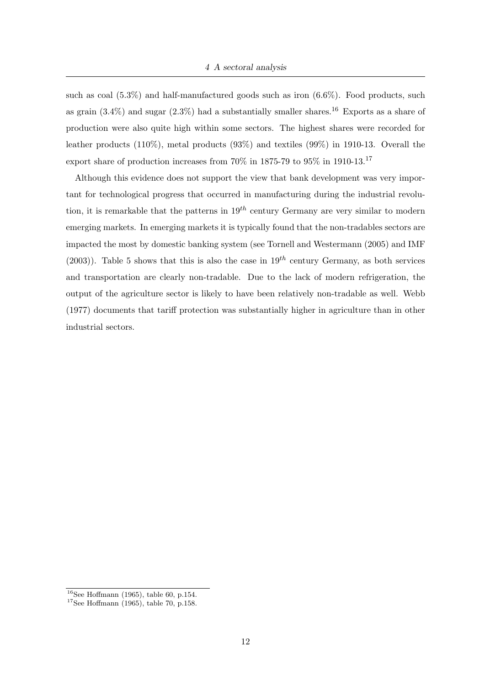such as coal  $(5.3\%)$  and half-manufactured goods such as iron  $(6.6\%)$ . Food products, such as grain  $(3.4\%)$  and sugar  $(2.3\%)$  had a substantially smaller shares.<sup>16</sup> Exports as a share of production were also quite high within some sectors. The highest shares were recorded for leather products (110%), metal products (93%) and textiles (99%) in 1910-13. Overall the export share of production increases from  $70\%$  in  $1875-79$  to  $95\%$  in 1910-13.<sup>17</sup>

Although this evidence does not support the view that bank development was very important for technological progress that occurred in manufacturing during the industrial revolution, it is remarkable that the patterns in  $19^{th}$  century Germany are very similar to modern emerging markets. In emerging markets it is typically found that the non-tradables sectors are impacted the most by domestic banking system (see Tornell and Westermann (2005) and IMF (2003)). Table 5 shows that this is also the case in  $19^{th}$  century Germany, as both services and transportation are clearly non-tradable. Due to the lack of modern refrigeration, the output of the agriculture sector is likely to have been relatively non-tradable as well. Webb (1977) documents that tariff protection was substantially higher in agriculture than in other industrial sectors.

 $16$ See Hoffmann (1965), table 60, p.154.

 $17$ See Hoffmann (1965), table 70, p.158.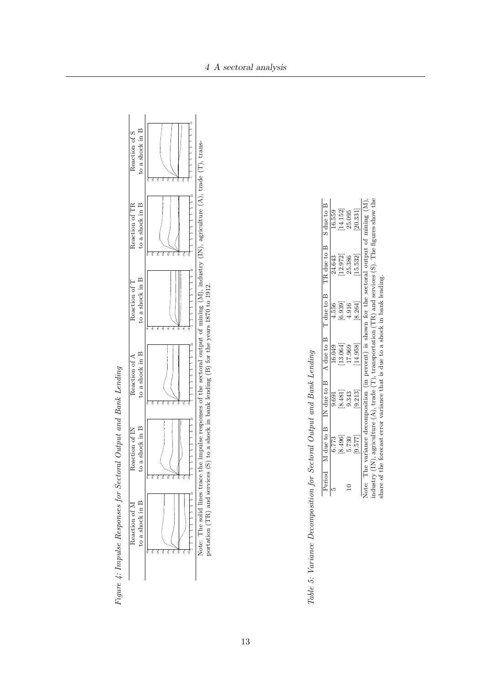



Table 5: Variance Decomposition for Sectoral Output and Bank Lending

|         |                                                    |          |         | Period M due to B IN due to B A due to B T due to B TR due to B S due to B |                        |
|---------|----------------------------------------------------|----------|---------|----------------------------------------------------------------------------|------------------------|
| 6.773   | 9.691                                              | 16.049   | 4.556   | 24.643                                                                     | 16.559                 |
| 8.496   |                                                    | [13.064] | [6.939] |                                                                            |                        |
| 5.730   | $\begin{bmatrix} 8 & 481 \\ 9 & 343 \end{bmatrix}$ | 17.969   | 4.916   | $[12.972]$<br>$25.386$                                                     | $[14.152]$<br>$25.095$ |
| [9.577] | [9.213]                                            | [14.958] | 8.264]  | [15.532]                                                                   | $\left[20.331\right]$  |

Note: The variance decomposition (in percent) is shown for the sectoral output of mining (M), industry (IN), agriculture (A), trade (T), transportation (TR) and services (S). The figures show the share of the forecast err industry (IN), agriculture (A), trade (T), transportation (TR) and services (S). The figures show the share of the forecast error variance that is due to a shock in bank lending.

 $\overline{5}$ 

 $\ddot{\circ}$ 

5.

 $\overline{\mathbf{v}}$ 

Response of BANKS to BANKS

 $R_{\rm max}$  (BAI),  $R_{\rm max}$ 

Response of BANKS to BANKS

Responsibilitative

Response of BANKS to BANKS

Response on

Response of

Note: The solid lines trace the impulse responses of the sectoral output of mining (M), industry (IN), agriculture (A), trade (T), trans-<br>portation (TR) and services (S) to a shock in bank lending (B) for the years 1870 t

re mupunse res

Response of BANKS to AGRICULTURE

Response of BANKS to BANKS

Response of F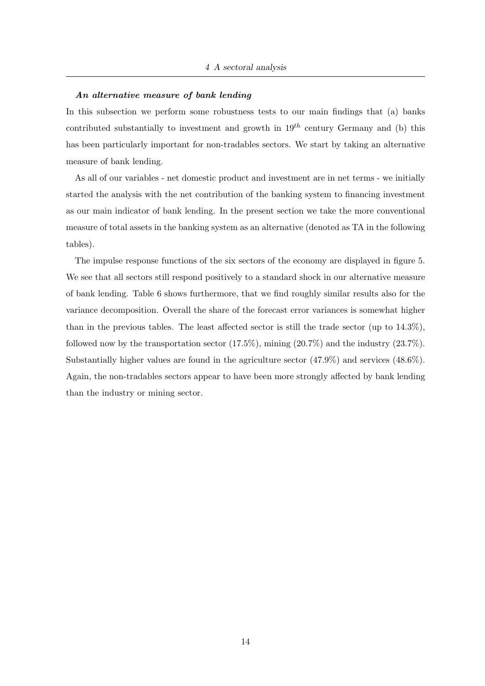### An alternative measure of bank lending

In this subsection we perform some robustness tests to our main findings that (a) banks contributed substantially to investment and growth in  $19<sup>th</sup>$  century Germany and (b) this has been particularly important for non-tradables sectors. We start by taking an alternative measure of bank lending.

As all of our variables - net domestic product and investment are in net terms - we initially started the analysis with the net contribution of the banking system to financing investment as our main indicator of bank lending. In the present section we take the more conventional measure of total assets in the banking system as an alternative (denoted as TA in the following tables).

The impulse response functions of the six sectors of the economy are displayed in figure 5. We see that all sectors still respond positively to a standard shock in our alternative measure of bank lending. Table 6 shows furthermore, that we find roughly similar results also for the variance decomposition. Overall the share of the forecast error variances is somewhat higher than in the previous tables. The least affected sector is still the trade sector (up to  $14.3\%$ ). followed now by the transportation sector  $(17.5\%)$ , mining  $(20.7\%)$  and the industry  $(23.7\%)$ . Substantially higher values are found in the agriculture sector (47.9%) and services (48.6%). Again, the non-tradables sectors appear to have been more strongly affected by bank lending than the industry or mining sector.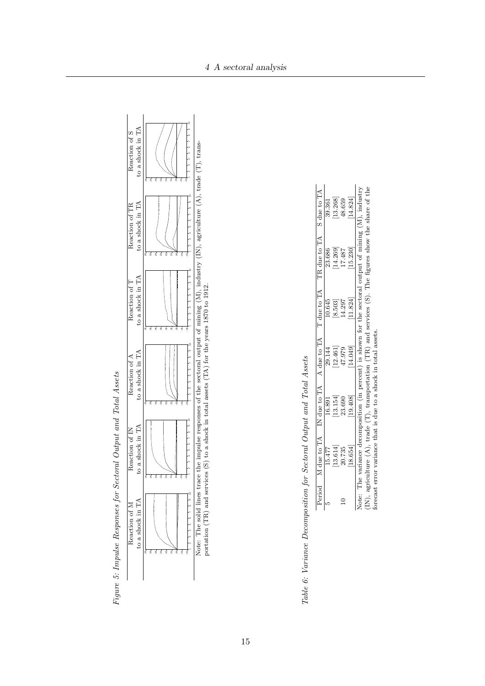

|  |  |                | י<br>ו                                                                                                          |
|--|--|----------------|-----------------------------------------------------------------------------------------------------------------|
|  |  | $\overline{a}$ | ֖֖֧֖֧֧ׅ֧֧֧֪֧֪֚֚֚֚֚֚֚֚֚֚֚֚֚֚֚֚֚֚֚֚֚֡֝֓֝֓֝֬֓֝֬֝֓֝֬֝֓֝֬֝֬֝֬֝֬֝֓֝֬֝֬֝֬֝֬֝֬֝֬֝֬֝֬֝֬֝֬֝֬֝֬֝֬<br>.<br>.<br>.<br>.<br>. |
|  |  |                | l<br>- こうしょう こうしょう<br>$\frac{1}{2}$                                                                             |
|  |  |                |                                                                                                                 |

Figure 5: Impulse Responses for Sectoral Output and Total Assets

Figure 5: Impulse Responses for Sectoral Output and Total Assets

Table 6: Variance Decomposition for Sectoral Output and Total Assets

| Period |                                                 |          |                             |                             | M due to TA IN due to TA A due to TA T due to TA TR due to TA S due to TA |  |
|--------|-------------------------------------------------|----------|-----------------------------|-----------------------------|---------------------------------------------------------------------------|--|
|        | 15.477                                          | 16.891   |                             |                             |                                                                           |  |
|        |                                                 | 13.154   | 29.144<br>12.461]<br>47.979 | 10.645<br>[8.503]<br>14.297 | 23.686<br>[14.269]                                                        |  |
| ≘      | $\begin{array}{c} 13.614 \\ 20.735 \end{array}$ | 23.690   |                             |                             | 17.487                                                                    |  |
|        | 18.654                                          | [19.408] | [14.049]                    | 11.824                      | [15.230]                                                                  |  |

(IN), agriculture (A), trade (T), transportation (TR) and services (S). The figures show the share of the forecast error variance that is due to a shock in total assets. (IN), agriculture  $(A)$ , trade  $(T)$ , transportation (TR) and services  $(S)$ . The figures show the share of the forecast error variance that is due to a shock in total assets.

iort

. 0

Response of Table

 $\tilde{=}$ 

 $\tilde{\mathbf{c}}$ 

Response of TAB to TAB

TRAFFIC

Response of TAB to TAB

Response of TAB to TAB

Response of TAB to TRADE

Response of TAB to TAB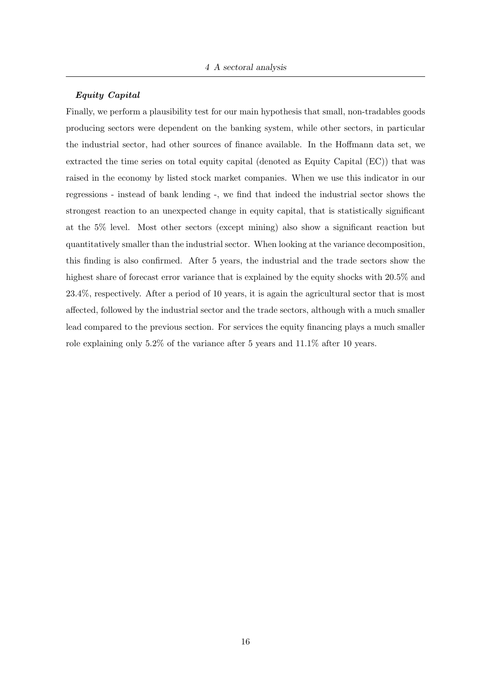### Equity Capital

Finally, we perform a plausibility test for our main hypothesis that small, non-tradables goods producing sectors were dependent on the banking system, while other sectors, in particular the industrial sector, had other sources of finance available. In the Hoffmann data set, we extracted the time series on total equity capital (denoted as Equity Capital (EC)) that was raised in the economy by listed stock market companies. When we use this indicator in our regressions - instead of bank lending -, we find that indeed the industrial sector shows the strongest reaction to an unexpected change in equity capital, that is statistically significant at the 5% level. Most other sectors (except mining) also show a significant reaction but quantitatively smaller than the industrial sector. When looking at the variance decomposition, this finding is also confirmed. After 5 years, the industrial and the trade sectors show the highest share of forecast error variance that is explained by the equity shocks with  $20.5\%$  and 23.4%, respectively. After a period of 10 years, it is again the agricultural sector that is most affected, followed by the industrial sector and the trade sectors, although with a much smaller lead compared to the previous section. For services the equity financing plays a much smaller role explaining only 5.2% of the variance after 5 years and 11.1% after 10 years.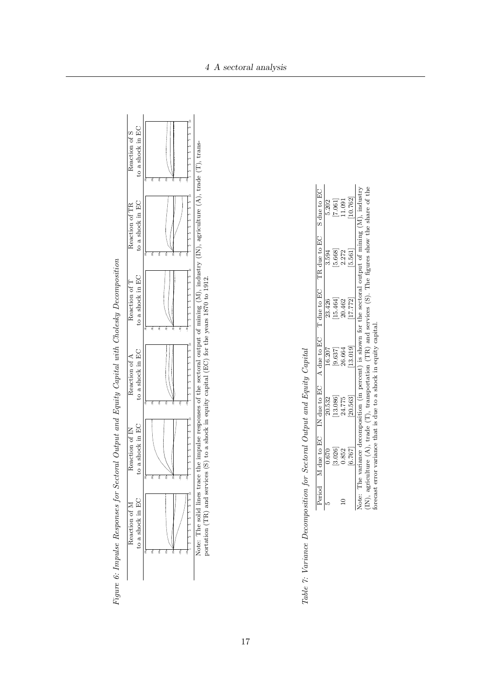



Table 7: Variance Decomposition for Sectoral Output and Equity Capital

| 0.670 | 20.532 | 16.207 | 23.426 | 3.594 |                                                                                                                                                                                   |
|-------|--------|--------|--------|-------|-----------------------------------------------------------------------------------------------------------------------------------------------------------------------------------|
| 3.026 | 13.086 |        | 15.464 | 5.668 |                                                                                                                                                                                   |
| 0.852 | 14.775 |        | 10.462 | 2.272 | $7.061$<br>1.091                                                                                                                                                                  |
| 6.767 | 20.563 | 13.019 | 17.772 |       | 10.762                                                                                                                                                                            |
|       |        |        |        |       |                                                                                                                                                                                   |
|       |        |        |        |       | Period M due to EC IN due to EC A due to EC TR due to EC A due to EC<br>Note: The variance decomposition (in percent) is shown for the sectoral output of mining $(M)$ , industry |

Ne. The sond three

Response of LOGA

Response of LOGA

Response to Agriculture

.16 .12

Response of LOG\_AK\_REAL to LOG\_AK\_REAL

Response of LOG\_AK\_REAL to TRADE

Response of Loga Carrier and Archives

 $\sum_{k=1}^{\infty}$ 

 $R$ ,  $\alpha_{\text{S}}$  and  $\alpha_{\text{S}}$  and  $\alpha_{\text{S}}$ 

Response of LOGA

 $\nabla$  Logal to Logal to Logal to Logal to Logal to Logal to Logal to Logal to Logal to Logal to Logal to Logal to Logal to Logal to Logal to Logal to Logal to Logal to Logal to Logal to Logal to Logal to Logal to Logal to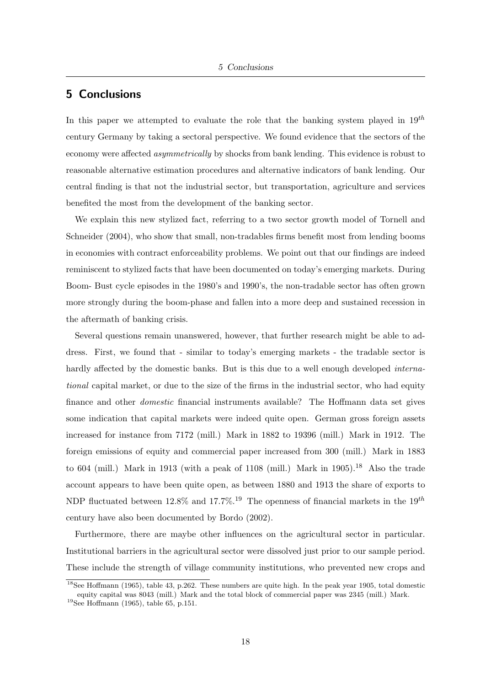## 5 Conclusions

In this paper we attempted to evaluate the role that the banking system played in  $19^{th}$ century Germany by taking a sectoral perspective. We found evidence that the sectors of the economy were affected *asymmetrically* by shocks from bank lending. This evidence is robust to reasonable alternative estimation procedures and alternative indicators of bank lending. Our central finding is that not the industrial sector, but transportation, agriculture and services benefited the most from the development of the banking sector.

We explain this new stylized fact, referring to a two sector growth model of Tornell and Schneider (2004), who show that small, non-tradables firms benefit most from lending booms in economies with contract enforceability problems. We point out that our findings are indeed reminiscent to stylized facts that have been documented on today's emerging markets. During Boom- Bust cycle episodes in the 1980's and 1990's, the non-tradable sector has often grown more strongly during the boom-phase and fallen into a more deep and sustained recession in the aftermath of banking crisis.

Several questions remain unanswered, however, that further research might be able to address. First, we found that - similar to today's emerging markets - the tradable sector is hardly affected by the domestic banks. But is this due to a well enough developed *interna*tional capital market, or due to the size of the firms in the industrial sector, who had equity finance and other domestic financial instruments available? The Hoffmann data set gives some indication that capital markets were indeed quite open. German gross foreign assets increased for instance from 7172 (mill.) Mark in 1882 to 19396 (mill.) Mark in 1912. The foreign emissions of equity and commercial paper increased from 300 (mill.) Mark in 1883 to 604 (mill.) Mark in 1913 (with a peak of 1108 (mill.) Mark in 1905).<sup>18</sup> Also the trade account appears to have been quite open, as between 1880 and 1913 the share of exports to NDP fluctuated between 12.8% and 17.7%.<sup>19</sup> The openness of financial markets in the 19<sup>th</sup> century have also been documented by Bordo (2002).

Furthermore, there are maybe other influences on the agricultural sector in particular. Institutional barriers in the agricultural sector were dissolved just prior to our sample period. These include the strength of village community institutions, who prevented new crops and

<sup>&</sup>lt;sup>18</sup>See Hoffmann (1965), table 43, p.262. These numbers are quite high. In the peak year 1905, total domestic equity capital was 8043 (mill.) Mark and the total block of commercial paper was 2345 (mill.) Mark.

<sup>19</sup>See Hoffmann (1965), table 65, p.151.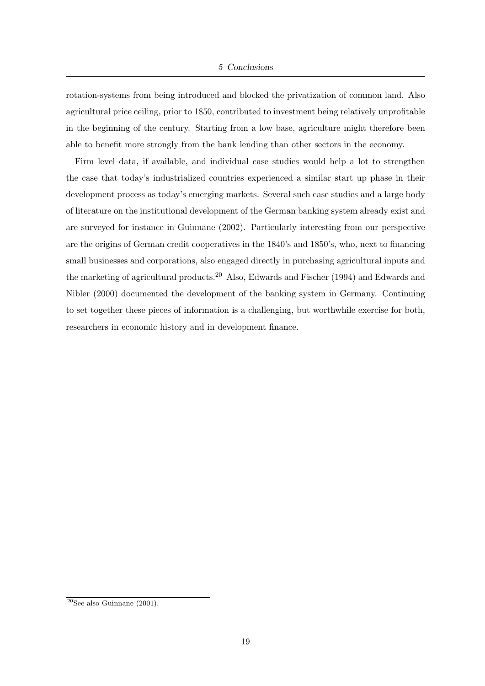rotation-systems from being introduced and blocked the privatization of common land. Also agricultural price ceiling, prior to 1850, contributed to investment being relatively unprofitable in the beginning of the century. Starting from a low base, agriculture might therefore been able to benefit more strongly from the bank lending than other sectors in the economy.

Firm level data, if available, and individual case studies would help a lot to strengthen the case that today's industrialized countries experienced a similar start up phase in their development process as today's emerging markets. Several such case studies and a large body of literature on the institutional development of the German banking system already exist and are surveyed for instance in Guinnane (2002). Particularly interesting from our perspective are the origins of German credit cooperatives in the 1840's and 1850's, who, next to financing small businesses and corporations, also engaged directly in purchasing agricultural inputs and the marketing of agricultural products.<sup>20</sup> Also, Edwards and Fischer (1994) and Edwards and Nibler (2000) documented the development of the banking system in Germany. Continuing to set together these pieces of information is a challenging, but worthwhile exercise for both, researchers in economic history and in development finance.

 $20$ See also Guinnane (2001).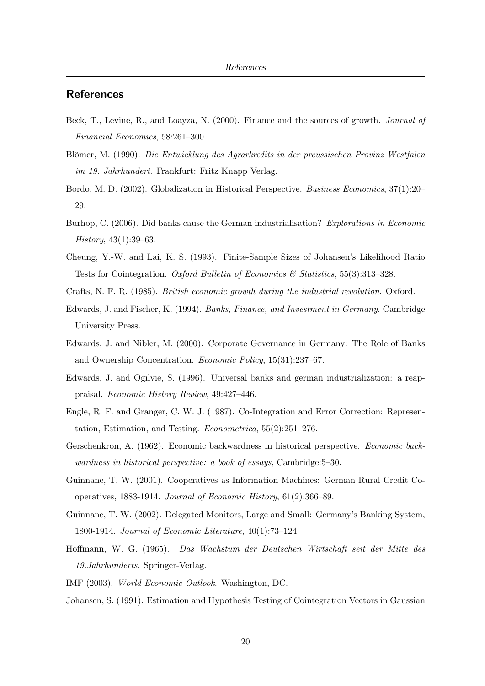## **References**

- Beck, T., Levine, R., and Loayza, N. (2000). Finance and the sources of growth. Journal of Financial Economics, 58:261–300.
- Blömer, M. (1990). Die Entwicklung des Agrarkredits in der preussischen Provinz Westfalen im 19. Jahrhundert. Frankfurt: Fritz Knapp Verlag.
- Bordo, M. D. (2002). Globalization in Historical Perspective. Business Economics, 37(1):20– 29.
- Burhop, C. (2006). Did banks cause the German industrialisation? Explorations in Economic History, 43(1):39–63.
- Cheung, Y.-W. and Lai, K. S. (1993). Finite-Sample Sizes of Johansen's Likelihood Ratio Tests for Cointegration. Oxford Bulletin of Economics & Statistics, 55(3):313–328.
- Crafts, N. F. R. (1985). British economic growth during the industrial revolution. Oxford.
- Edwards, J. and Fischer, K. (1994). Banks, Finance, and Investment in Germany. Cambridge University Press.
- Edwards, J. and Nibler, M. (2000). Corporate Governance in Germany: The Role of Banks and Ownership Concentration. Economic Policy, 15(31):237–67.
- Edwards, J. and Ogilvie, S. (1996). Universal banks and german industrialization: a reappraisal. Economic History Review, 49:427–446.
- Engle, R. F. and Granger, C. W. J. (1987). Co-Integration and Error Correction: Representation, Estimation, and Testing. Econometrica, 55(2):251–276.
- Gerschenkron, A. (1962). Economic backwardness in historical perspective. Economic backwardness in historical perspective: a book of essays, Cambridge:5–30.
- Guinnane, T. W. (2001). Cooperatives as Information Machines: German Rural Credit Cooperatives, 1883-1914. Journal of Economic History, 61(2):366–89.
- Guinnane, T. W. (2002). Delegated Monitors, Large and Small: Germany's Banking System, 1800-1914. Journal of Economic Literature, 40(1):73–124.
- Hoffmann, W. G. (1965). Das Wachstum der Deutschen Wirtschaft seit der Mitte des 19.Jahrhunderts. Springer-Verlag.
- IMF (2003). World Economic Outlook. Washington, DC.
- Johansen, S. (1991). Estimation and Hypothesis Testing of Cointegration Vectors in Gaussian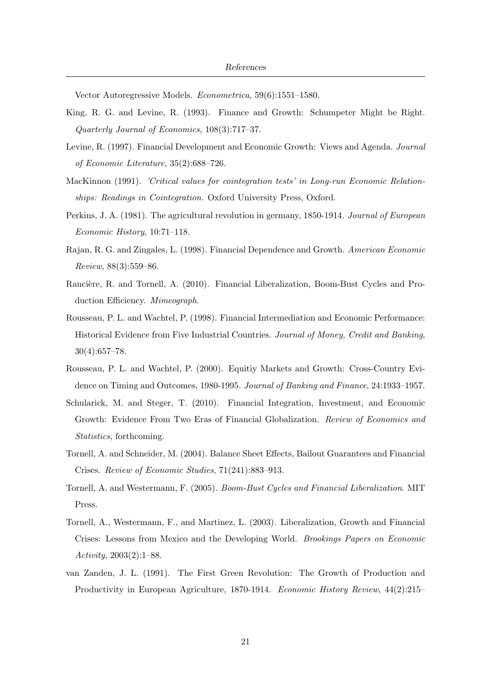Vector Autoregressive Models. Econometrica, 59(6):1551–1580.

- King, R. G. and Levine, R. (1993). Finance and Growth: Schumpeter Might be Right. Quarterly Journal of Economics, 108(3):717–37.
- Levine, R. (1997). Financial Development and Economic Growth: Views and Agenda. Journal of Economic Literature, 35(2):688–726.
- MacKinnon (1991). 'Critical values for cointegration tests' in Long-run Economic Relationships: Readings in Cointegration. Oxford University Press, Oxford.
- Perkins, J. A. (1981). The agricultural revolution in germany, 1850-1914. Journal of European Economic History, 10:71–118.
- Rajan, R. G. and Zingales, L. (1998). Financial Dependence and Growth. American Economic Review, 88(3):559–86.
- Rancière, R. and Tornell, A. (2010). Financial Liberalization, Boom-Bust Cycles and Production Efficiency. Mimeograph.
- Rousseau, P. L. and Wachtel, P. (1998). Financial Intermediation and Economic Performance: Historical Evidence from Five Industrial Countries. Journal of Money, Credit and Banking, 30(4):657–78.
- Rousseau, P. L. and Wachtel, P. (2000). Equitiy Markets and Growth: Cross-Country Evidence on Timing and Outcomes, 1980-1995. Journal of Banking and Finance, 24:1933–1957.
- Schularick, M. and Steger, T. (2010). Financial Integration, Investment, and Economic Growth: Evidence From Two Eras of Financial Globalization. Review of Economics and Statistics, forthcoming.
- Tornell, A. and Schneider, M. (2004). Balance Sheet Effects, Bailout Guarantees and Financial Crises. Review of Economic Studies, 71(241):883–913.
- Tornell, A. and Westermann, F. (2005). Boom-Bust Cycles and Financial Liberalization. MIT Press.
- Tornell, A., Westermann, F., and Martinez, L. (2003). Liberalization, Growth and Financial Crises: Lessons from Mexico and the Developing World. Brookings Papers on Economic Activity, 2003(2):1–88.
- van Zanden, J. L. (1991). The First Green Revolution: The Growth of Production and Productivity in European Agriculture, 1870-1914. Economic History Review, 44(2):215–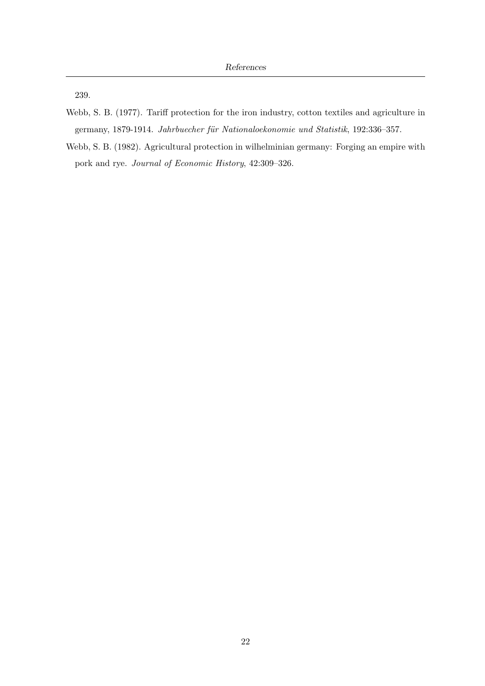239.

- Webb, S. B. (1977). Tariff protection for the iron industry, cotton textiles and agriculture in germany, 1879-1914. Jahrbuecher für Nationaloekonomie und Statistik, 192:336-357.
- Webb, S. B. (1982). Agricultural protection in wilhelminian germany: Forging an empire with pork and rye. Journal of Economic History, 42:309–326.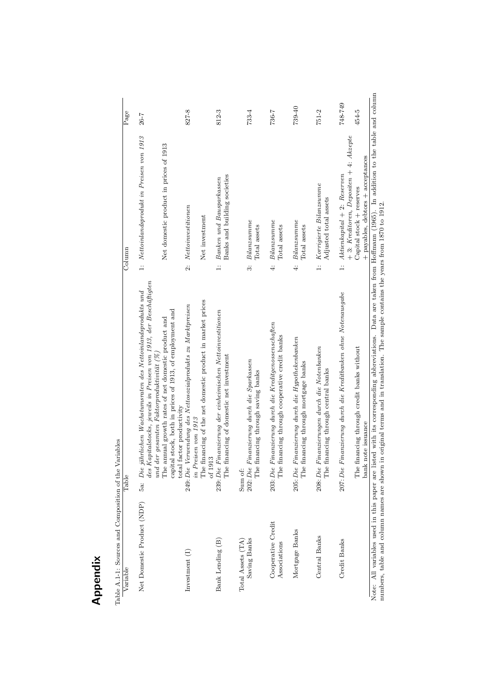| Table A.1-1: Sources and Composition of the Variables |                                                                                                                                                                                      |                                                                             |           |
|-------------------------------------------------------|--------------------------------------------------------------------------------------------------------------------------------------------------------------------------------------|-----------------------------------------------------------------------------|-----------|
| Variable                                              | Table                                                                                                                                                                                | Column                                                                      | Page      |
| Net Domestic Product (NDP)                            | des Kapitalstocks, jeweils in Preisen von 1913, der Beschäftigten<br>$5a$ : Die jährlichen Wachstumsraten des Nettoinlandsprodukts und<br>und der gesamten Faktorproduktivität $(%)$ | 1: Nettoinlandsprodukt in Preisen von 1913                                  | 26-7      |
|                                                       | capital stock, both in prices of 1913, of employment and<br>The annual growth rates of net domestic product and<br>total factor productivity                                         | Net domestic product in prices of 1913                                      |           |
| Investment $(I)$                                      | 249: Die Verwendung des Nettosozialprodukts zu Marktpreisen<br>in Preisen von 1913                                                                                                   | $\label{thm:optimal}Net to investigate one n$<br>$\ddot{\alpha}$            | 827-8     |
|                                                       | The financing of the net domestic product in market prices<br>of $1913$                                                                                                              | Net investment                                                              |           |
| Bank Lending (B)                                      | 239: Die Finanzierung der einheimischen Nettoinvestitionen<br>The financing of domestic net investment                                                                               | Banks and building societies<br>Banken und Bausparkassen<br>ب<br>ب          | 812-3     |
| Saving Banks<br>Total Assets (TA)                     | Finanzierung durch die Sparkassen<br>financing through saving banks<br>202: Die<br>The<br>Sum of:                                                                                    | Bilanzsumme<br>Total assets<br>.<br>3                                       | $733 - 4$ |
| Cooperative Credit<br>Associations                    | Finanzierung durch die Kreditgenossenschaften<br>financing through cooperative credit banks<br>The:<br>203: Die                                                                      | Bilanzsumme<br>Total assets<br>$\ddot{ }$                                   | 736-7     |
| Mortgage Banks                                        | Finanzierung durch die Hypothekenbanken<br>financing through mortgage banks<br>The:<br>205:Die                                                                                       | Bilanzsumme<br>Total assets<br>$\ddot{ }$                                   | 739-40    |
| Central Banks                                         | Finanzierungen durch die Notenbanken<br>financing through central banks<br>The<br>208: Die                                                                                           | Korrigierte Bilanzsumme<br>Adjusted total assets<br>.<br>ب                  | $751 - 2$ |
| Credit Banks                                          | 207: Die Finanzierung durch die Kreditbanken ohne Notenausgabe                                                                                                                       | + 3: Kreditoren, Depositen + 4: Akzepte<br>1: $Aktienkapital + 2: Reserven$ | 748-749   |
|                                                       | The financing through credit banks without<br>bank note issuance                                                                                                                     | + payables, debtors + acceptances<br>Capital stock + reserves               | 454-5     |
|                                                       | Note: All veriables used in this paper are listed with its corresponding abbreviations. Data are to the fine and the table and colum                                                 |                                                                             |           |

 $Table$ 

Appendix

Note: All variables used in this paper are listed with its corresponding abbreviations. Data are taken from Hoffmann (1965). In addition to the table and column numbers, table and column names are shown in original terms a Note: All variables used in this paper are listed with its corresponding abbreviations. Data are taken from Hoffmann (1965). In addition to the table and column numbers, table and column names are shown in original terms and in translation. The sample contains the years from 1870 to 1912.